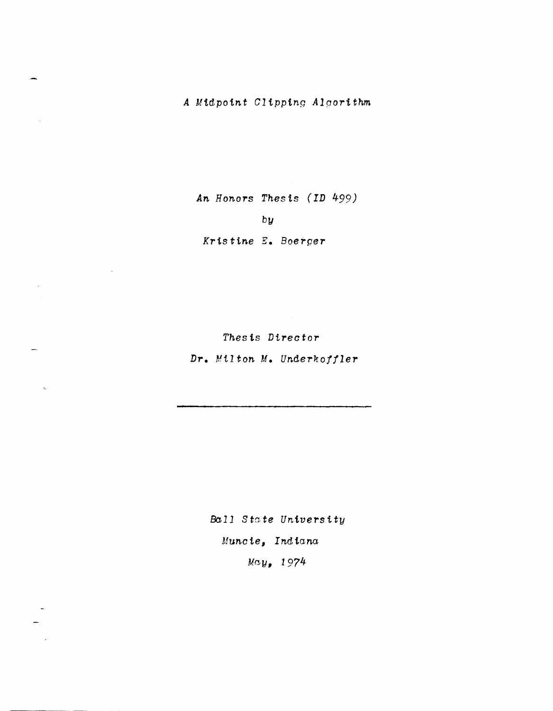*An Honors Thesis (ID 499)* 

by

*Kristine E. Boerper* 

*Thesis Director* 

**Dr.** *Milton M. Underkoffler* 

*Ball State University Muncte, Indiana May, 1974* 

Ŷ.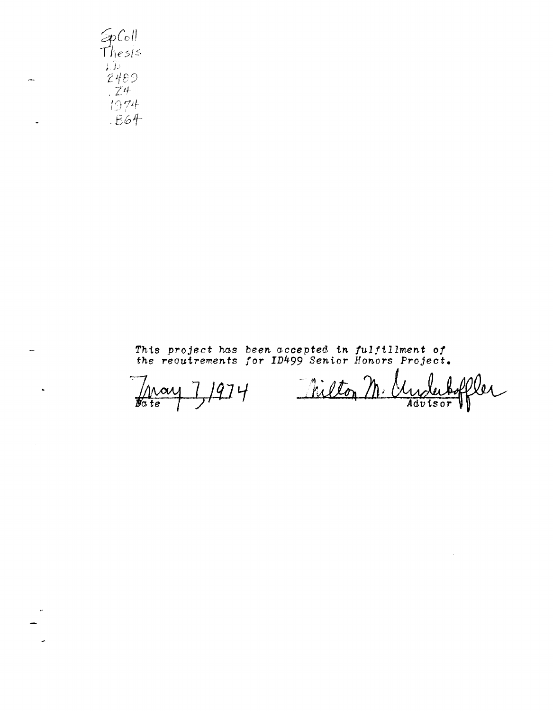$50$ Thesis  $LD$  $2489$  $Z^4$ 1974  $-B64$ 

 $\ddot{\phantom{a}}$ 

This project has been accepted in fulfillment of<br>the requirements for ID499 Senior Honors Project.

1974 May  $\frac{1}{\cancel{B}a}$  te

Milton M. er <u>Myte</u>

 $\bar{z}$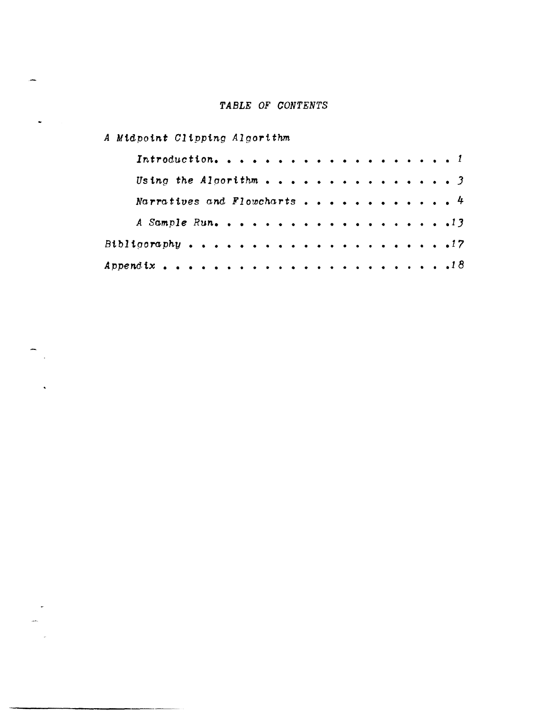# TABLE OF CONTENTS

A Midpoint Clipping Algorithm

 $\Delta \phi$ 

 $\bar{\nu}$ 

| Using the Algorithm 3       |  |  |  |  |  |  |  |  |  |  |
|-----------------------------|--|--|--|--|--|--|--|--|--|--|
| Narratives and Flowcharts 4 |  |  |  |  |  |  |  |  |  |  |
|                             |  |  |  |  |  |  |  |  |  |  |
|                             |  |  |  |  |  |  |  |  |  |  |
|                             |  |  |  |  |  |  |  |  |  |  |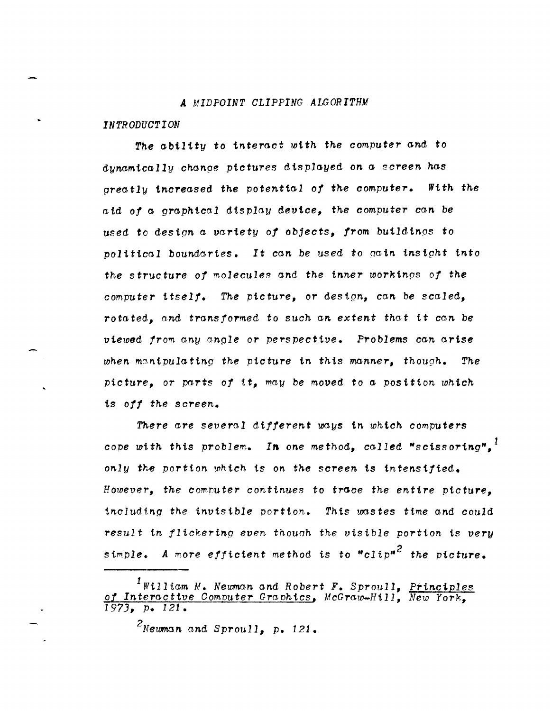### *A MIDPOINT CLIPPING ALGORITHM*

*INTRODUCTION* 

The ability to interact with the computer and to dynamically change pictures displayed on a screen has *greatly increased the potential of the computer. With the* aid *of* a. *graphical* display *device, the computer can be*  used to *design* a *variety of* objects, *from* buildings to *political* boundaries. It *can be* used to *Qain* instght *into the* structure *of molecules* and *the inner* workings *of the*  compute'r *itself. The picture,* or *design, can be scaled,*  rotated" *a,nd* transformed to such an *extent that* it can *be viewed from any angle* or *perspective.* Problems *can* arise *when ma,ntpulating the picture in* thts *manner, though. The*  ptcture~, or parts *of it, may be moved* to a posttion *which*  is *off the screen.* 

*Tll,ere are severo,l dtfferent* ooys *in which computers cope with this problem. In one method, called "scissoring".*<sup>1</sup> *only the portion which is on the screen is intensified. However, the computer continues to trace the entire picture. including the invisible portion. This wastes time and could* result in flickering even though the visible portion is very *simple. A more efficient method* is to *"C1iP»2 the picture.* 

 $1$ William *M. Newman and Robert F. Sproull, Principles* of Interactive Computer *Graphics*, *McGraw-Hill*, *New York*, *1973,* p. 121.

<sup>&</sup>lt;sup>2</sup>Newman and Sproull, p. 121.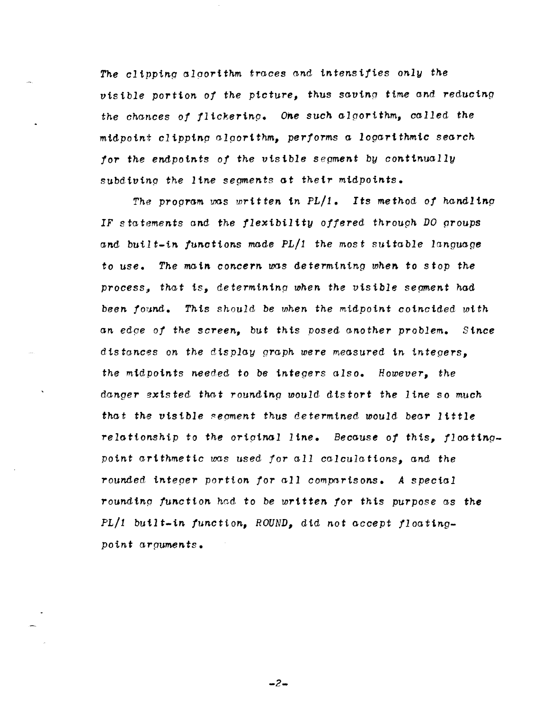*The clipping* alportthm *traces and intensifies only the visible portion of the picture,* thus *savinp time and reducing the chances of flickering. One such algorithm, called the* mtdpotn~~ *cl ipping algorithm" performs a logartthmic search for the endpoints of the visible segment by continually*  subdiving the *line* segments at their midpoints.

*The program* was *mritten. in PLI1. Its* method *of handlin.g*  IF statements and the flexibility offered through DO groups *and bui.lt-in functions made PLll the* most suitable *language*  to use. *The main concern* was *determining when.* to *stop the*  process, that is, determining when the visible segment h<mark>ad</mark> *been found. Thts should* be *when the midpoint* coincided *with an edpe of the screen"* but this posed *another problem. Since*  distances on the display graph were measured in integers. *the midpoints needed to be integers also. However, the danger sxisted that rounding would distort the line so much that th,g* visible ~egment thus *determined* would *bear 1 tttle*  relationship to the original line. Because of this, floating*point arithm.etic was* used *for all calculations,* and *the rounded integer portion for all comparisons. A special*  roundtng *function had* to *be written for this purpose* as *the PLI1 built-tn function, ROUND,* did *not accept floatingpoint arguments.* 

 $-2-$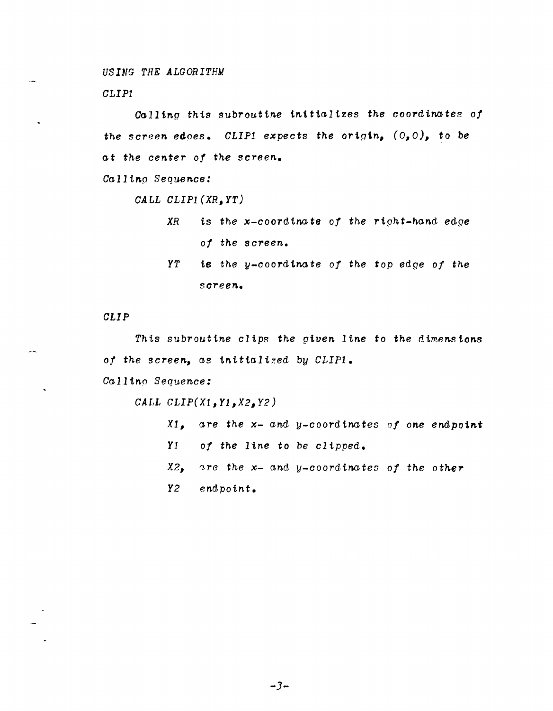*USING THE ALGORITHM* 

*CLIPl* 

 $\sim$ 

Calling this subroutine initializes the coordinates of *the screen* edoes. *CLIPl expects the origin,* (0,0), to *be at the center of the screen.* 

*Cal1inp Sequence:* 

*CA.l..L CLIP1 (XR, YT)* 

XR is the x-coordinate of the right-hand edge *of the screen. YT* is *the y-coordinate of the* top *edge of the* 

*screen.* 

*CLIP* 

*This* subroutine *clips the piven line* to *the dimensions of the screen,* as *tnitta1i7.ed by CLIP1.* 

*Callino Sequence:* 

*CALL CLIP(Xl,Y1,X2,Y2)* 

*Xl, are the x- and* y-coordtnates *of one* endpoin.t Y1 *of the line* to *he clipped. X2, are the x- and y-coordinates of the other*  Y2 *endpoint.* 

-3-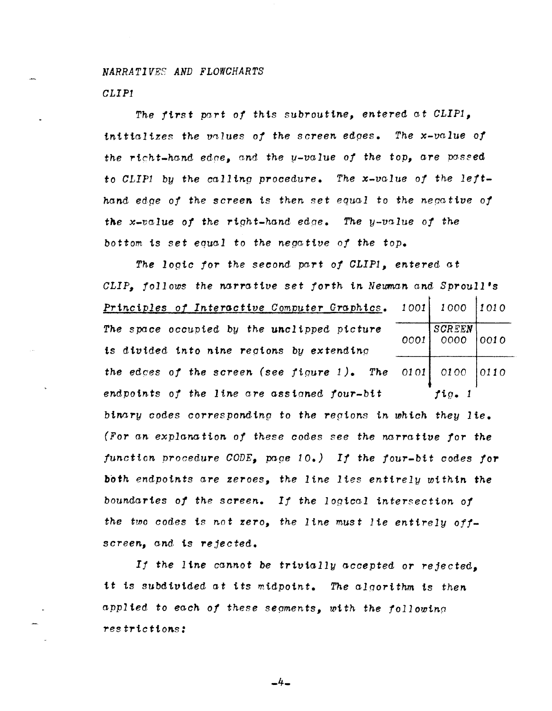*NARRATIVES AND FLOWCHARTS CLIP1* 

The first part of this subroutine, entered at CLIPI. *initializes the values of the screen edges. The x-value of the richt-hand edne, and the y-value of the top, are passed* to CLIP1 by the calling procedure. The x-value of the left*hand ed.ge of the screen* is *then set equal to the nepa tiue of*  the x-value of the right-hand edge. The y-value of the *bottom* is *set equal* to *the negattve of the top.* 

The logic for the second part of CLIP1, entered at *CLIP. follows the narrative set forth in Neuman and Sproull's* **Principles of Interactive Computer Graphics.** 1001 1000 1010 The space occupied by the unclipped picture  $\overline{SOO}$  SCREEN  $OOOO$ *0001 0000 0010*  ts dtuided *tnto nine reptons by extending the* edces *of the screen (see figure* 1). *The* 0101 0100 0110 *endpotnts of the line are assianed four-bit fig. 1 binnry* codes *correspondtng* to *the repions in which they lte. (For an. explanation of these codes* see *the narrattue for the*   $function\ procedure\ CODE$ , page  $10$ . If the four-bit codes for both *endpoints are zeroes, the line lies entirely within the boundaries of the screen. If the logical intersection of the two codes* is *not zero, the line* must *lie entirely offscreen, and* is *rejected.* 

*If the line cannot be triuially accepted or rejected,*  it is subdivided at its midpoint. The algorithm is then *applied* to *each of these segments, with th.e followinq restriction.s:* 

 $-4-$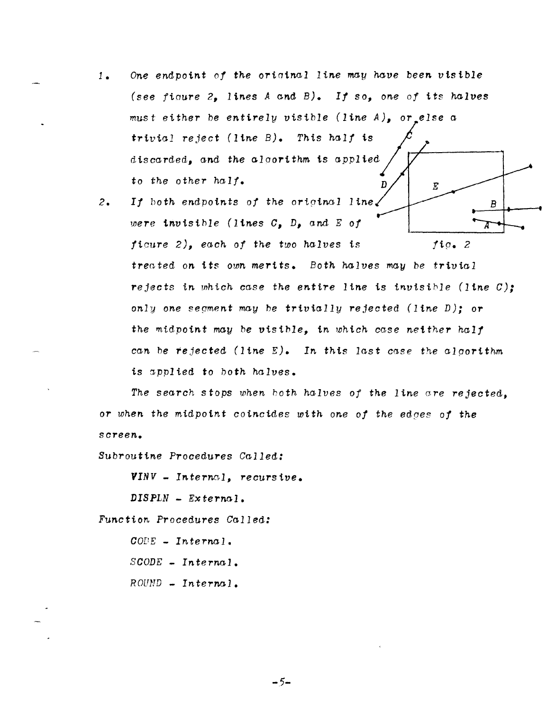- *1. One endpoint of tne oriainal line* may *nave been visible (see fioure* 2, *lines A and B). If* so, *one of* its *nalves*  must *either* be *entirely visible (line A),* or *else* a *trivial reject (line B). Tnis naIf is*  discarded, *and the alaoritnm.* is to *the other half.*   $\mathbf{D}$  $\overline{E}$
- 2. If both endpoints of the original line. B *were invisible (lines C, D, and E of* 7 *ficure* 2), *eacn of the two halves* is fip. 2 trented *on* its *oum* mertts. *Botn halves m.ay* be *trivtal*  rejects *in which case the entire line* is *invisible (line C);*  only one segment may be trivially rejected (line D); or *the midpoint* may *be visihle, in which case neither half can* he *rejected (line E). In* this *last case the alporithm*  is applied to both halves.

*The search* stops *when hoth nalves of the line are rejected,*  or *when the* midpoint *coincides witn one of the edpes of the screen..* 

*Subroutine Procedures Called:* 

*VINV* - *Internal, recursive.* 

*DISPLN* - *External.* 

Function, Procedures Called:

*COPE* - *Internal. SCOnE* - *Internal.*  ROUND - *In terna 1.* 

 $-5-$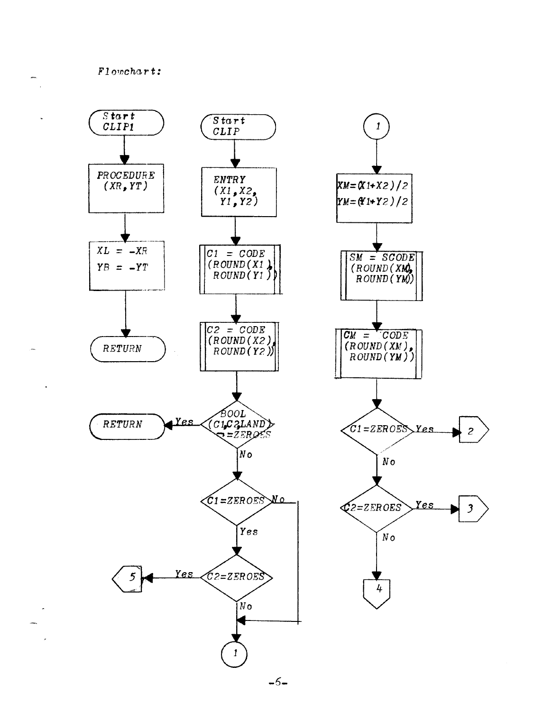$F1$ owchart:



 $-5-$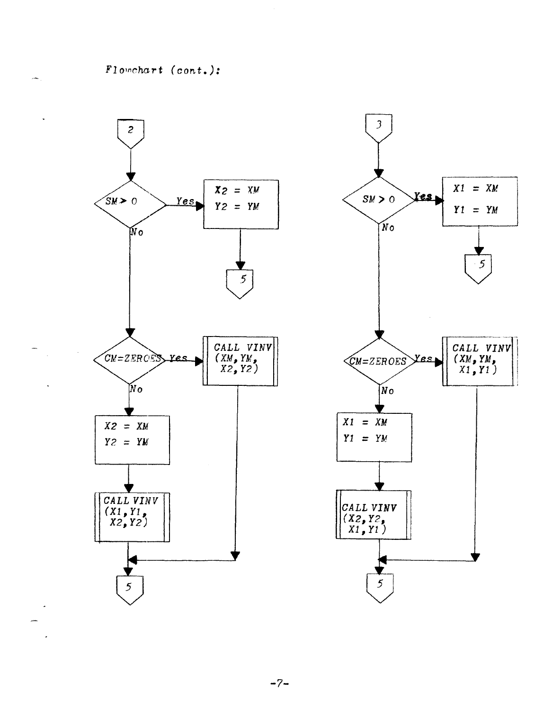$F1$ owchart (cont.):



 $-7-$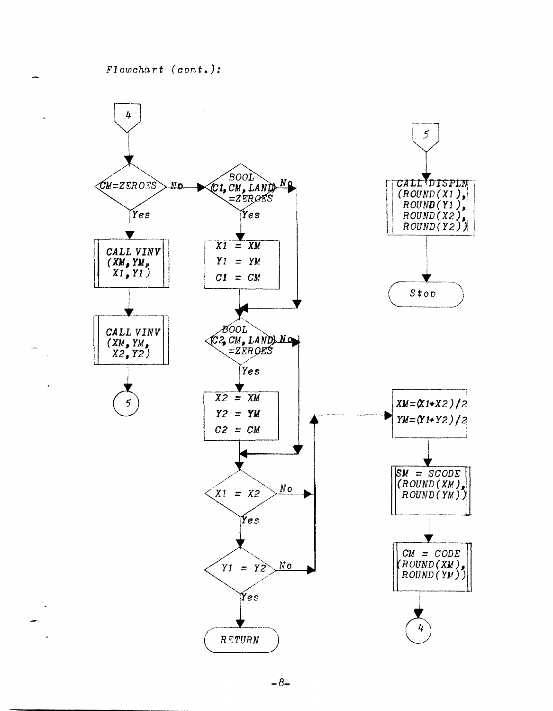$F1$ owchart (cont.):



 $-8-$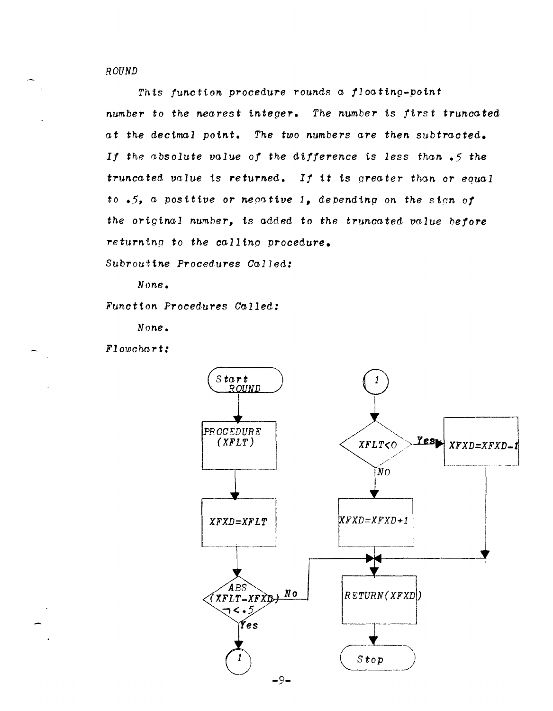## ROUND

This function procedure rounds a floating-point number to the nearest integer. The number is first truncated at the decimal point. The two numbers are then subtracted. If the absolute value of the difference is less than .5 the truncated value is returned. If it is greater than or equal to  $-5$ , a positive or negative 1, depending on the sign of the original number, is added to the truncated value before returning to the calling procedure.

Subroutine Procedures Called:

 $None.$ 

Function Procedures Called:

None.

 $F1$ owchcrt:

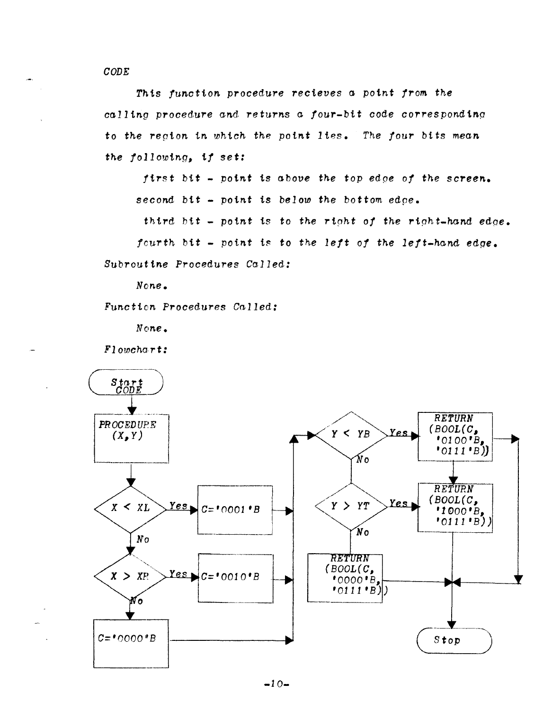$CODE$ 

This function procedure recieves a point from the calling procedure and returns a four-bit code corresponding to the region in which the point lies. The four bits mean the following, if set:

first bit - point is above the top edge of the screen. second bit - point is below the bottom edoe.

third bit - point is to the right of the right-hand edge.

fourth bit - point is to the left of the left-hand edge.

Subroutine Procedures Called:

 $None<sub>•</sub>$ 

Function Procedures Called:

None.

Flowchart:

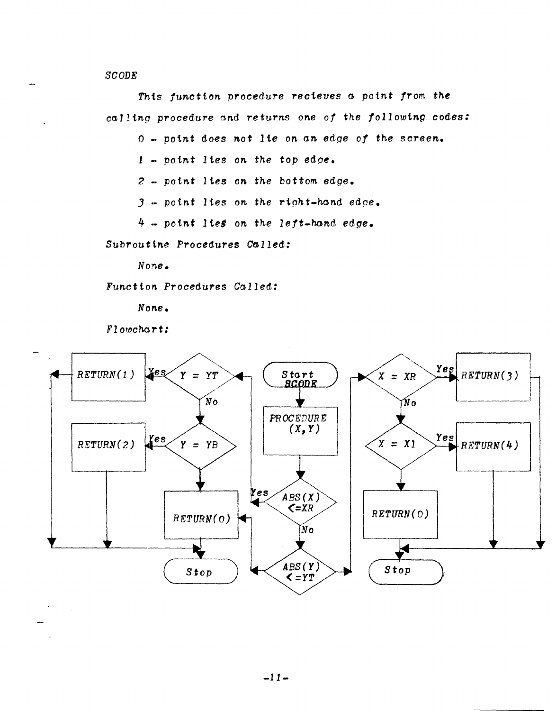$SCODE$ 

This function procedure recieves a point from the calling procedure and returns one of the following codes:

0 - point does not lie on an edge of the screen.

 $1$  - point lies on the top edge.

 $2$  - point lies on the bottom edge.

 $3$  - point lies on the right-hand edge.

 $4$  - point lies on the left-hand edge.

Subroutine Procedures Called:

 $None<sub>1</sub>$ 

Function Procedures Called:

None.

Flowchart:

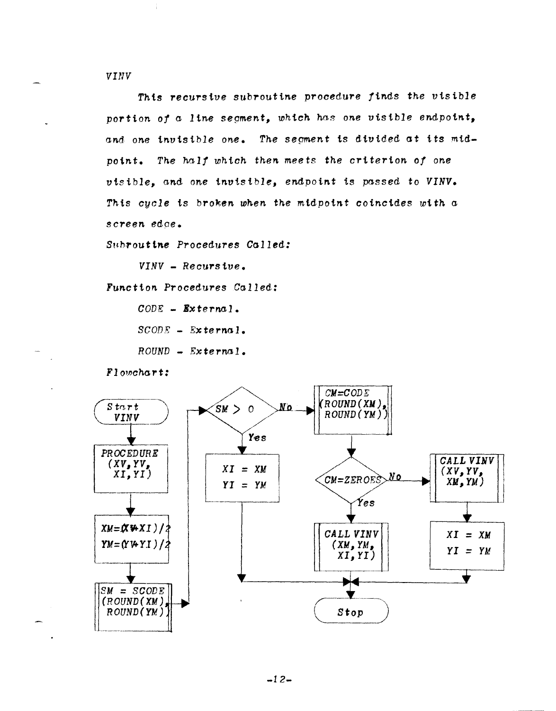**VINV** 

This recursive subroutine procedure finds the visible portion of a line segment, which has one visible endpoint, and one invisible one. The segment is divided at its midpoint. The half which then meets the criterion of one visible, and one invisible, endpoint is passed to VINV. This cycle is broken when the midpoint coincides with a screen edge.

Subroutine Procedures Called:

 $VINV - Recursive.$ 

Function Procedures Called:

 $CODE = Externa$ .  $SCODE = External.$  $ROUND - Extern 1.$ 

Flowchart:

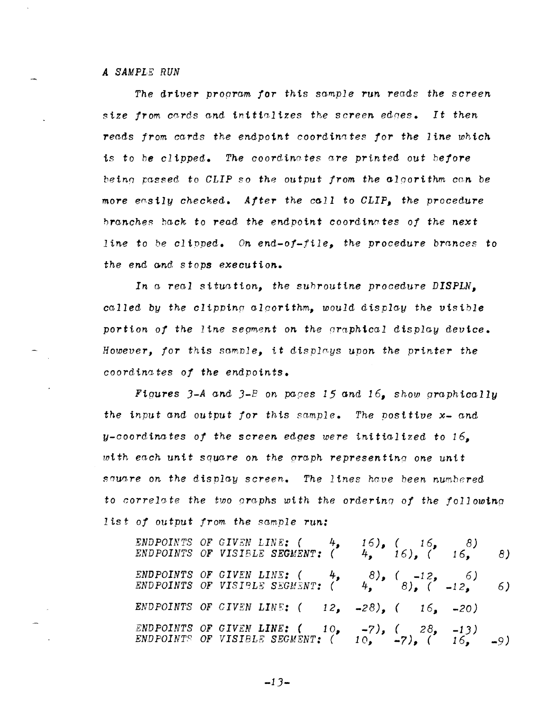### *A SAMPLE RUN*

*The driver program for this sample run reads the screen size !Tom* cards *and intttaltzes the screen eanes. It then reads from* cards *the endpoint coordinates !or the line whtch*  is to *he* clipped. The coordinates are printed out *hefore beinl/* passed. to *CLIP* so *the* output *from the alaorithm cnn be more easily checked. After the call* to *CLIP, the procedure hranche::; back* to *read the* endpoint *coordin0tes ot the next line to* be *cltpped.* On *end-at-file, the procedure brances* to *the end Gnd* stops *executton.* 

*In a real Situation, the* suhroutine *procedure DISPLN, called by the clipping alqortthm, would display the visible portion of the line sepment on the araphtcal display device. However, tor* this sample, *it* displays upon *the printer the coordinates* o! *the endpoints.* 

Figures *J-A and J-p on papes* 15 *and* 16, *show graphically the input* and output *for* this *sample. The positive x- and y-coordinates of the screen* edges *were initialized to 16, mith each. untt* square on *the gra,ph representinq one unit sauare on the display screen. The lines have heen* numhered to *correlate the two graphs with the ordering of the following* <sup>1</sup>is t- *of* output *from the sample* run:

*ENDPOINTS* OF *GIVEN LINE:* ( 4, 16), ( 16, 8) *ENDPOINTS* OF *VISIBLE SEGMENT:* ( 4, 16), ( 16, 8) *ENDPOINTS OF GIVEN LINE:* ( 4, 8), ( -12, 6)<br>*ENDPOINTS OF VISIBLE SEGMENT:* ( 4, 8), ( -12, 6) *ENDPOINTS OF GIVEN LINE*:  $( 12, -28)$ ,  $( 16, -20)$ *ENDPOINTS OF GIVEN LINE:* ( 10, -7), ( 28, -13)<br>*ENDPOINTS OF VISIBLE SEGMENT*: ( 10, -7), ( 16, -9)

 $-13-$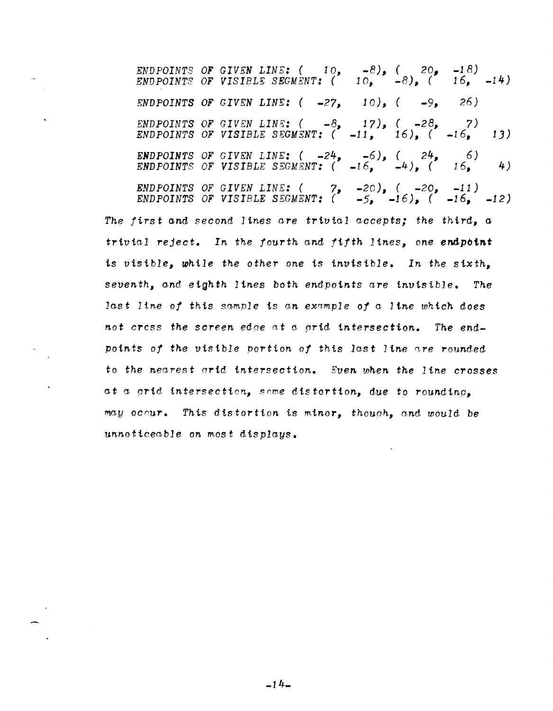*ENDPOINTS OF GIVEN LINE:*  $( 10, -8)$ ,  $( 20, -18)$  $ENDPOINTS$  OF VISIBLE SEGMENT: (  $10,$  -8), (  $16,$  -14) *ENDPOINTS OF GIVEN LINE:*  $(-27, 10)$ ,  $(-9, 26)$ *ENDPOINTS OF GIVEN LINE:*  $(-8, 17)$ ,  $(-28, 7)$ *ENDPOINTS OF VISIBLE SEGMENT:*  $(-11, 16)$ ,  $(-16, 13)$ *ENDPOINTS OF GIVEN LINE:*  $(-24, -6)$ ,  $(24, 6)$  $ENDPOINTS$  *OF VISIBLE SEGMENT:*  $($   $-16,$   $-4)$ ,  $($   $16,$   $4)$ *ENDPOINTS OF GIVEN LINE:* ( 7, -20), ( -20, -11) *ENDPOINTS OF VISIBLE SEGMENT:*  $($   $-5$ ,  $-16$ ),  $($   $-16$ ,  $-12)$ 

*The* first Gnd second *lines are trivial accepts; the* third, *<sup>a</sup> trivial reject.* In the fourth and fifth lines, one endpoint is *visible, while the other one* is *invisible. In the* sixth, *seventh, and eighth lines both* endpoints *are invisible. The last line of this sample* is *an example of a line which does not* cress *the screen edqe at* a prid *intersection. The end*points of the visible portion of this last line are rounded to *the nearest arid intersection. Even when the line crosses at a prid intersection, snme* distortion, due to roundtnp, may occur. This distortion is minor, though, and would be *unnoticeable on* most *displays.* 

 $-14-$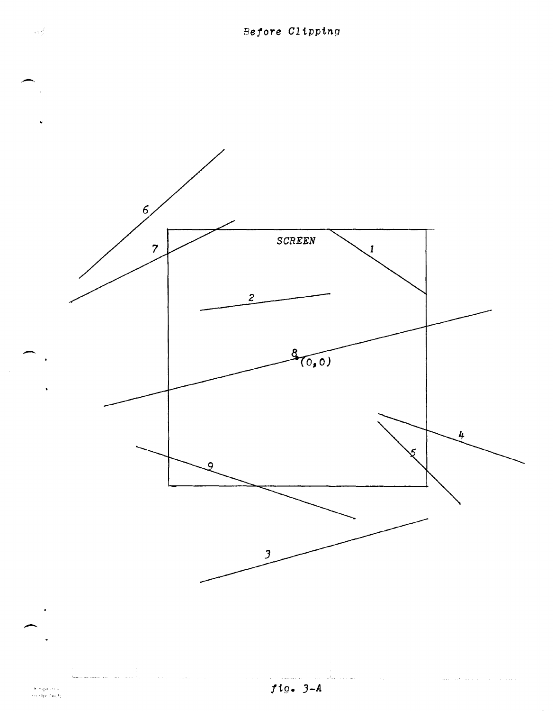

 $fig. 3-A$ 

 $\begin{array}{c} 8.8 \mathrm{q}\,\mathrm{d}\,\mathrm{d}\,\mathrm{ds}\\ 6.0 \mathrm{the}\,\mathrm{f}\,\mathrm{h}\,\mathrm{d}\mathrm{g} \end{array}$ 

 $\log \frac{2}{\lambda}$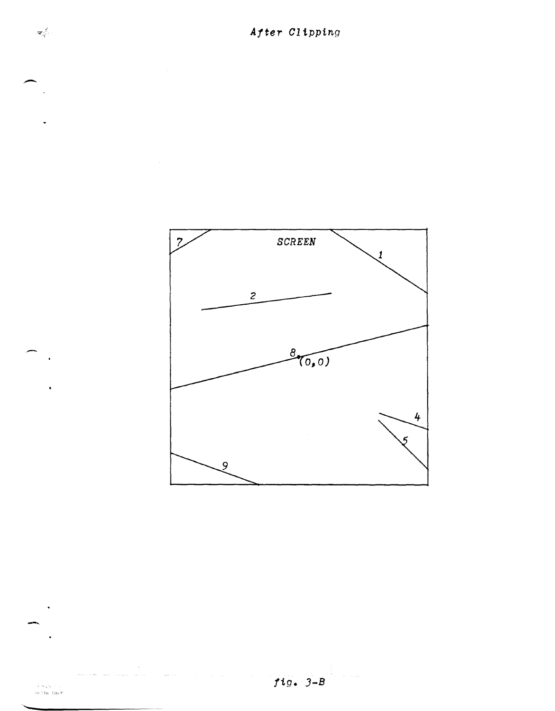$\mathbf{z}_{\mathbf{q}^{\prime}}^{\left( \mathbf{f} \right)}$ 



 $fig. 3-B$ 

 $\frac{1}{\epsilon}$ 

 $\begin{array}{c} \text{where} \quad \phi \in \mathbb{R}^d, \\ \text{for the three} \end{array}$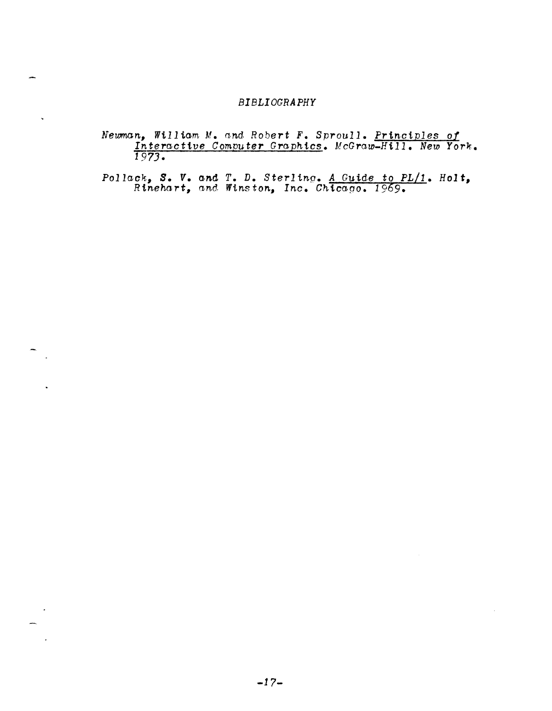## **BIBLIOGRAPHY**

 $\ddot{\phantom{0}}$ 

Newman, William M. and Robert F. Sproull. <u>Principles of</u><br>Interactive Computer Graphics. McGraw-Hill. New York.<br>1973.

Pollack, S. V. and T. D. Sterling. A Guide to PL/1. Holt,<br>Rinehart, and Winston, Inc. Chicago. 1969.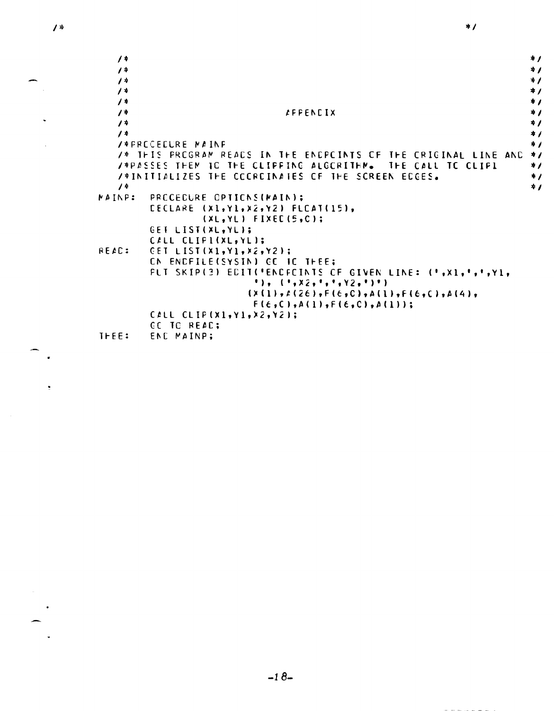$\prime$  \*

 $\hat{\mathbf{z}}$ 

 $\sim$ 

| $\sqrt{4}$                                                      | $*I$      |
|-----------------------------------------------------------------|-----------|
| $\prime^*$                                                      | $*I$      |
| $\overline{1}$                                                  | $*1$      |
| $\prime$ +                                                      | $*I$      |
| $\prime$ +                                                      | $*I$      |
| $\prime^*$<br><b><i>LEFENCIX</i></b>                            | $\star$ / |
| $\overline{1}$                                                  | $\star$   |
| $\overline{1}$                                                  | $*I$      |
| <b>/*FRECEELRE MAINE</b>                                        | $*I$      |
| /* THIS PROGRAM READS IN THE ENDPOINTS OF THE ORIGINAL LINE AND | $*I$      |
| /*PASSES THEM TO THE CLIPPING ALGORITHM. THE CALL TO CLIPL      | $\ast$    |
| /*INITIALIZES THE CCCRCINATES OF THE SCREEN ECGES.              | $\ast$    |
| $1*$                                                            | $\star$   |
| PRCCECURE CPTICNS(MAIN);<br><b>NAINP:</b>                       |           |
| CECLARE (X1, Y1, X2, Y2) FLCAT(15),                             |           |
| $(XL, YL)$ FIXEC(5,C);                                          |           |
| GET LIST(XL.YL);                                                |           |
| CALL CLIPI(XL.YL);                                              |           |
| REAC:<br>CET LIST(X1, Y1, X2, Y2);                              |           |
| CN ENDFILE(SYSIN) GC IC THEE:                                   |           |
| PLT SKIP(3) EDIT('ENCFCINTS OF GIVEN LINE: (',X1,',',Y1,        |           |
|                                                                 |           |
| $(2(1), 2(26), F(6, C), A(1), F(6, C), A(4),$                   |           |
| $F(\epsilon, C), A(1), F(\epsilon, C), A(1))$ ;                 |           |
| CALL CLIP(X1, Y1, X2, Y2);                                      |           |
| <b>CC TO READ;</b>                                              |           |
| THEE:<br>END MAINP;                                             |           |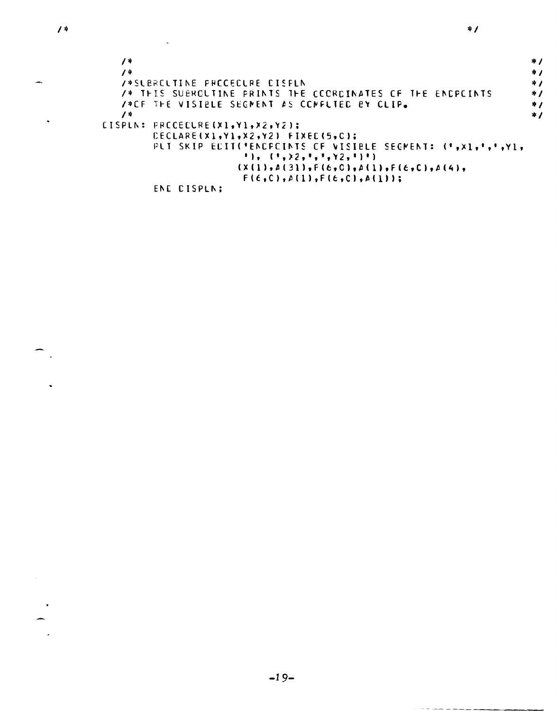$\ddot{\phantom{0}}$ 

 $\mathcal{A}$ 

 $\bullet$ 

|                                                            | * /        |
|------------------------------------------------------------|------------|
| / ≭                                                        | $\ddot{r}$ |
| <b>/*SLBRCLTINE FRCCECLRE CISFLN</b>                       | * /        |
| /* THIS SUBROLTINE PRINTS THE COORDINATES OF THE ENDPOINTS | $\star$ /  |
| <b>/*CF THE VISIBLE SEGNENT AS CONFUTED BY CLIP.</b>       | * 1        |
| $\overline{1}$                                             | * /        |
| CISPLN: FRECECLRE(X1,Y1,X2,Y2);                            |            |
| CECLARE(X1,Y1,X2,Y2) FIXEC(5,C);                           |            |
| PLI SKIP ECIT('ENCPCINTS OF VISIBLE SEGMENT: (',X1,',',Y1, |            |
| $1$ ), $(1, x_2, 1, 1, y_2, 1)$                            |            |
| $( x (1), A (31), F (6, 0), A (1), F (6, 0), A (4),$       |            |
| $F(\epsilon, C), \Delta(1), F(\epsilon, C), \Delta(1))$ ;  |            |
| <b>FA 5</b><br>. <i>.</i>                                  |            |

ENE CISPLN;

 $\bar{\mathcal{A}}$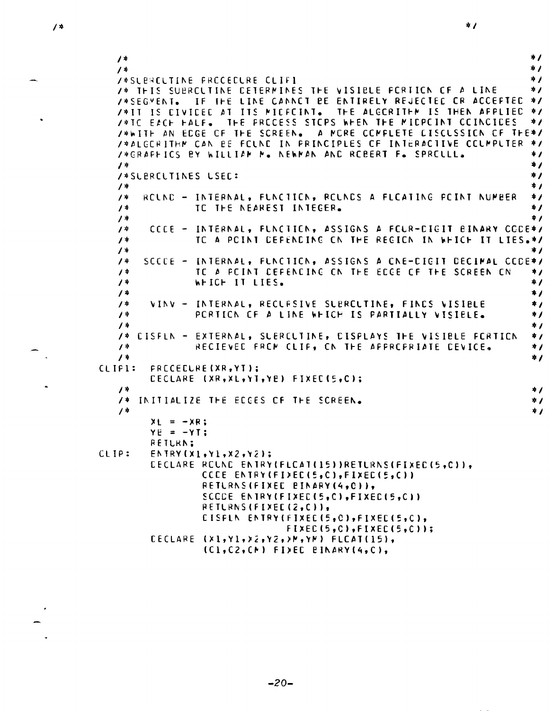```
\ast /
   1*\overline{1}\star /
   /*SLERCLTINE FRCCECLRE CLIF1
                                                                               \star /
   /* THIS SUBRCLTINE CETERMINES THE VISIBLE FCRIICN OF A LINE
                                                                               \star /
   /*SEGMENT. IF THE LINE CANNOT BE ENTIRELY REJECTED OR ACCEPTED
                                                                              \star/*IT IS CIVICED AT ITS MIDECINT.
                                           THE ALGORITHM IS THEN AFPLIED
                                                                               \star/*TC EACH FALF.
                      THE PRECESS STEPS WHEN THE MICPEINT CEINCIDES
                                                                               * 1
   /*WITH AN EDGE OF THE SCREEN. A MORE COMPLETE DISCUSSION OF THE*/
   /*ALGORITHM CAN BE FOUND IN PRINCIPLES OF INTERACTIVE COUMPUTER */
   /*GRAFFICS BY WILLIAM M. NEWMAN AND REBERT F. SPRELLL.
                                                                               \star\star\overline{1}\star /
   /*SLERCLTINES LSEC:
                                                                               \frac{1}{2}\prime *
        RCLND - INTERNAL, FLNCTICN, RCLNDS A FLCATING POINT NUMBER
   \prime +
                                                                               \star1*TC THE NEAREST INTEGER.
                                                                               \star /
   1*\star /
         CCCE - INTERNAL, FUNCTION, ASSIGNS A FOUR-DIGIT BINARY CODE*/
   1*TC A PCINT CEFENCING CN THE REGICN IN WHICH IT LIES.*/
   \prime *
   \prime *
                                                                               \star /
        SCCCE - INTERNAL, FLNCTICN, ASSIGNS A CNE-CIGIT DECIMAL CCCE*/
   1*TC A POINT DEFENDING ON THE EDGE OF THE SCREEN ON
   \prime +
                                                                               ^{\ast} /
                 WHICH IT LIES.
   \overline{1}\star /
   \sqrt{4}\starVINV - INTERNAL, RECLFSIVE SLERCLTINE, FINCS VISIBLE
   1**<sub>I</sub>PERTIEN OF A LINE WHICH IS PARTIALLY VISIBLE.
   \overline{1}\ast /
   1*\star /
   /* CISFLN - EXTERNAL, SUERCUTINE, CISPLAYS THE VISIBLE FORTION
                                                                               *<sub>I</sub>RECIEVED FROM CLIP, ON THE APPROPRIATE DEVICE.
   1*\star\prime *
                                                                               \star /
CLIP1:
         FRECEELRE (XR, YT);
         CECLARE (XR, XL, YT, YE) FIXEC(5, C);
   \overline{1}+1/* INITIALIZE THE ECGES OF THE SCREEN.
                                                                               * /
   /*
                                                                               *<sub>I</sub>X_L = -XR;YE = -YT;RETLRN:
CLIP:
         ENTRY(X1,Y1,Y2,Y2)CECLARE ROUND ENTRY(FLCAT(15))RETURNS(FIXED(5,C)),
                   CCCE ENTRY(FI)EC(5,C),FIXEC(5,C))
                   RETURNS (FIXEE BINARY (4,0)),
                   SCCDE ENTRY(FIXED(5,C),FIXED(5,C))
                   RETLRNS(FIXED(2,C)),
                   CISFIN ENTRY(FIXEC(5,0),FIXEC(5,C),
                                  FIXEC(5, C), FIXEC(5, C));
         CECLARE \{x1, y1, x2, y2, yN, yN\} FLCAT(15),
                   (Cl,C2,CM) FIDEC BINARY(4,C),
```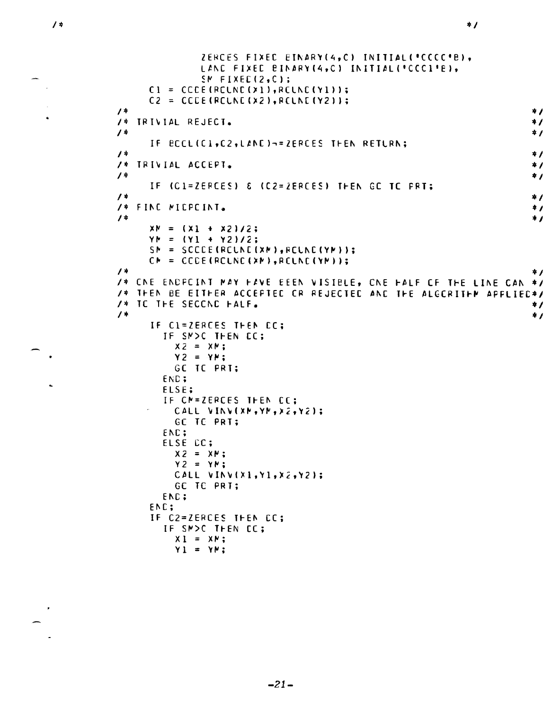$\hat{\mathbf{a}}$ 

```
ZERCES FIXED EINARY(4,C) INITIAL("CCCC"B),
               LAND FIXED BINARY (4, C) INITIAL (*CCC1*E),
               SN FIXEC(2,C);
     CI = CCE(RCUNC(X1),RCUNC(Y1));C2 = CCE(RCUNE(X2),RCUNE(Y2));\star1*/* IRIVIAL REJECT.
                                                                            \star\sqrt{4}*<sub>I</sub>IF BCCLIC1, C2, LAND )-=ZERCES THEN RETURN;
\overline{1}\star /
/* TRIVIAL ACCEPT.
                                                                            \star /
\prime *
                                                                            #1
      IF (C1=ZERCES) & (C2=ZERCES) THEN GC TC PRT;
\prime\ast*<sub>I</sub>/* FINE MIEPCINT.
                                                                            \star\sqrt{1}*<sub>I</sub>XY = (X1 + X2)/2;YYM = (Y1 + Y2)/2;
     SN = SCCE(RCUNC(XN), FCUNC(YN))CN = CCE(RCUNC(XN),RCUNC(YN));\prime *
                                                                            *<sub>I</sub>/* CNE ENDPOINT MAY HAVE EEEN VISIBLE, ONE HALF OF THE LINE CAN */
/* THEN BE EITHER ACCEPTED OR REJECTED AND THE ALGORITHM APPLIED*/
/* IC THE SECCND HALF.
                                                                            *<sub>I</sub>/*
                                                                            *<sub>I</sub>IF CI=ZERCES THEN CC;
        IF SMOC THEN CC;
          X2 = XY;YZ = YMGC TC PRT:
        END;
        ELSE:
        IF CN=ZERCES THEN CC;
          CALL VINV(XM, YM, X2, Y2);
          GC TC PRT:
        END;
        ELSE CC;
          X2 = XY;YZ = YN;CALL VINV(X1, Y1, X2, Y2);
          GE TE PRT:
        END;
      ENC:
      IF C2=ZERCES THEN CC;
        IF SMOC THEN EC;
          X1 = XY;Y1 = YN:
```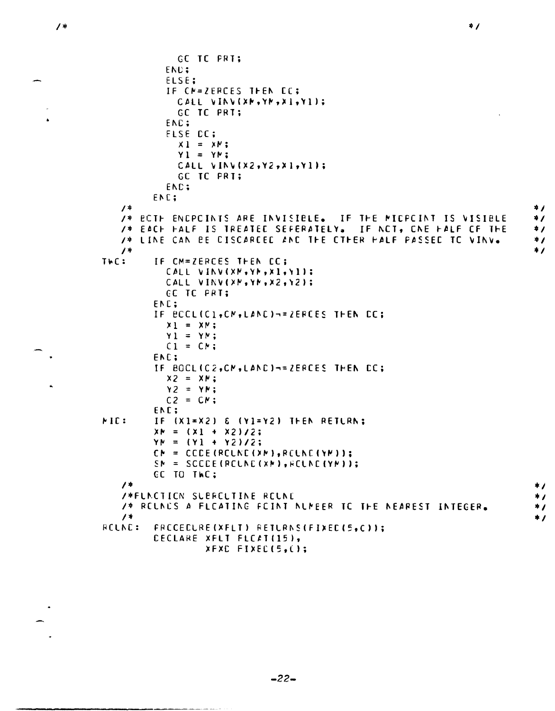```
GC TC PRT:
           END;
           ELSE;
           IF CN=ZERCES THEN EC;
             CALL VINV(XM, YM, X1, Y1);
             GC TC PRT;
           ENC:
           ELSE DC;
             x1 = xy;
             Y1 = YN:CALL VINV(X2,Y2,X1,Y1);
             GC TC PRI:
           END;
         ENC;
   \overline{1}\star/* ECTH ENCPOINTS ARE INVISIBLE. IF THE MICPOINT IS VISIBLE
                                                                             \star /
   /* EACH HALF IS TREATED SEFERATELY. IF NCT, ONE HALF OF THE
                                                                             \ast/* LINE CAN BE CISCARCEC AND THE CTHER HALF PASSED TO VINV.
                                                                             *<sub>I</sub>\overline{1}\starTWC:
         IF CM=ZERCES THEN CC;
           CALL VINV(XM, YM, X1, Y1);
           CALL VINV(XM, YM, X2, Y2);
           EC TC PRT;
         ENC:
         IF BCCLIC1, CM, LAND)-=ZERCES THEN CC;
           x_1 = x_1Y1 = YN;C1 = CN;END:
         IF BOCLIC2, CM, LAND)-=ZERCES THEN CC;
           X2 = XY;YZ = YN;C2 = CN;ENC;
MID:
         IF (X1=X2) & (Y1=Y2) THEN RETURN:
         XP = (X1 + X2)/2;
         YY = (Y1 + Y2)/2;CN = CCE (RELNE (XM), RELNE (YM));
         SN = SCCE(RCUNE(XN), FCUNC(YN));CC TO THC:
   \overline{1}*<sub>I</sub>/*FLNCTION SUBROUTINE ROUND
                                                                             \star/* RELNES A FLEATING FEINT NUMBER TO THE NEAREST INTEGER.
                                                                             *<sub>I</sub>\prime *
                                                                             \starRCLNC:
         FRECEELRE (XFLT) RETURNS (FIXED (5, C));
         CECLARE XFLT FLCAT(15),
                  XFXC FIXEC(5,();
```
 $\star$  /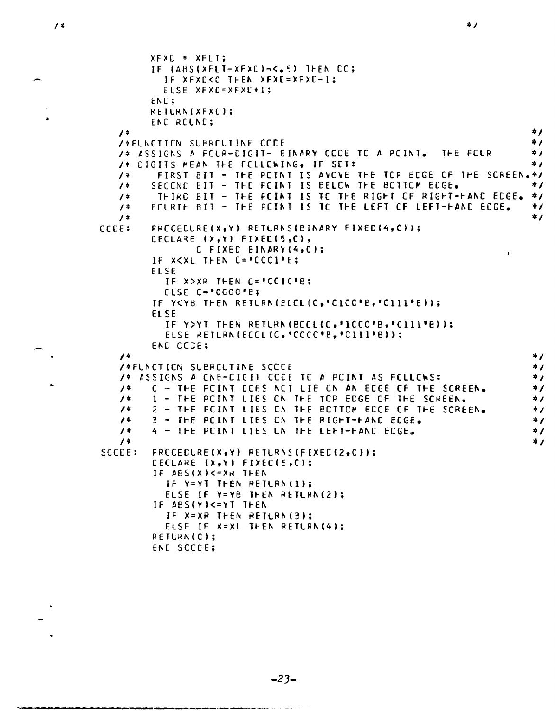$1*$ 

 $\overline{4}$ 

 $\prime$  +

 $\overline{1}$ 

 $\overline{4}$ 

 $\prime$  \*

 $\overline{1}$ 

 $/$ \*

 $\prime$  \*

 $\prime$  \*

 $\prime^*$ 

 $\prime$  \*

 $\prime$ \*

 $CCE:$ 

```
\frac{1}{4}XFXE = XFLTIF (ABS(XFLT-XFXC)-<.5) THEN CC;
          IF XFXC<C THEN XFXC=XFXC-1;
          ELSE XFXC=XFXC+1;
        ENE;
        RETURN(XFXC);
        END RELNE:
                                                                           * /
   /*FUNCTION SUBREUTINE CCCE
                                                                           * /
   /* ASSIGNS A FELR-EIGIT- EINARY CEDE TO A POINT. THE FELR
                                                                           * /
   /* CIGITS MEAN THE FELLEWING, IF SET:
                                                                           \star /
         FIRST BIT - THE POINT IS AVOVE THE TOP EDGE OF THE SCREEN.*/
        SECOND BIT - THE POINT IS BELOW THE BOTTOM EDGE.
                                                                           * /
         THIRD BIT - THE FOINT IS TO THE RIGHT OF RIGHT-HAND EDGE.
                                                                          *<sub>1</sub>FCURTH BIT - THE FOINT IS TO THE LEFT OF LEFT-HAND EDGE.
                                                                           \ast\starFRECEDURE(X,Y) RETURNS(BINARY FIXED(4,C));
        CECLARE (X, Y) FIXEC(5, C),
                C FIXED EINARY (4, C);
                                                                      \mathbf{I}IF XKXL THEN C= CCCL'E;
        ELSE
           IF X>XR THEN C='CCIC'E;
           ELSE C='CCCO'E;
        IF YKYB THEN RETURN (ECCLIC, "CICC"B, "CIII"B));
        FISE
           IF Y>YT THEN RETURN(BCCL(C, '1CCC'B, 'C111'B));
           ELSE RETURNIECCLIC, 'CCCC'B, 'C111'B));
        END CODE;
                                                                           \star/*FUNCTION SUBROUTINE SCODE
                                                                           * /
   /* ASSIGNS A CNE-CIGIT CCCE TC A POINT AS FOLLOWS:
                                                                           *<sub>I</sub>C - THE POINT CCES NOT LIE ON AN ECCE OF THE SCREEN.
                                                                           \ast /
        1 - THE POINT LIES ON THE TOP EDGE OF THE SCREEN.
                                                                           \star /
        2 - THE FOINT LIES ON THE BOTTOM EDGE OF THE SCREEN.
                                                                           *<sub>I</sub>3 - THE POINT LIES ON THE RIGHT-HAND EDGE.
                                                                           \star4 - THE POINT LIES ON THE LEFT-HAND EDGE.
                                                                           *<sub>I</sub>*<sub>I</sub>SCEE:
        PRCCEDURE(X,Y) RETURNS(FIXED(2,0));
```

```
CECLARE (X, Y) FIXEC(5, C);
IF ABS(X)<=XR THEN
  IF Y=YT THEN RETURN(1);
  ELSE IF Y=YB THEN RETURN(2):
IF ABS(Y)<=YT THEN
  IF X=XR THEN RETLRN(3);
  ELSE IF X=XL THEN RETURN(4);
RETURN(C):
ENE SCECE;
```